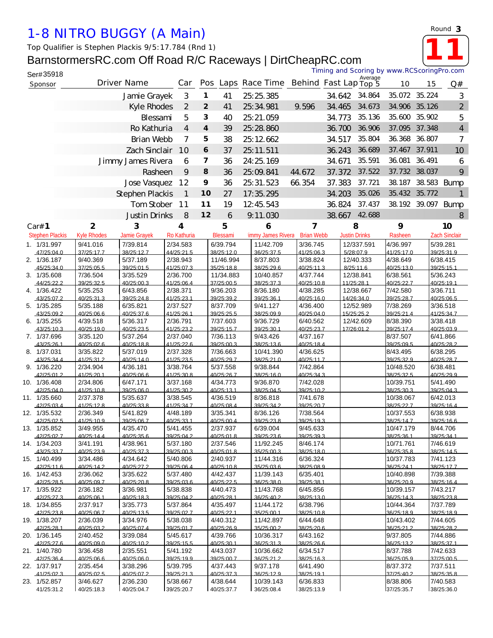## *1-8 NITRO BUGGY (A Main)*

*Top Qualifier is Stephen Plackis 9/5:17.784 (Rnd 1)*

## BarnstormersRC.com Off Road R/C Raceways | DirtCheapRC.com

| Ser#35918                  |                         |                        |                        |                |                         |                                          |                        | Timing and Scoring by www.RCScoringPro.com |                         |                         |               |                        |
|----------------------------|-------------------------|------------------------|------------------------|----------------|-------------------------|------------------------------------------|------------------------|--------------------------------------------|-------------------------|-------------------------|---------------|------------------------|
| Sponsor                    |                         | Driver Name            | Car                    |                |                         | Pos Laps Race Time Behind Fast Lap Top 5 |                        |                                            | Average                 | 10                      | 15            | Q#                     |
|                            |                         | Jamie Grayek           | 3                      | 1              | 41                      | 25:25.385                                |                        | 34.642                                     | 34.864                  |                         | 35.072 35.224 | 3                      |
|                            |                         | Kyle Rhodes            | 2                      | $\overline{2}$ | 41                      | 25:34.981                                | 9.596                  | 34.465                                     | 34.673                  |                         | 34.906 35.126 | $\overline{2}$         |
|                            |                         | Blessami               | 5                      | 3              | 40                      | 25:21.059                                |                        | 34.773                                     | 35.136                  | 35.600                  | 35.902        | 5                      |
|                            |                         | Ro Kathuria            | 4                      | 4              | 39                      | 25:28.860                                |                        | 36.700                                     | 36.906                  |                         | 37.095 37.348 | $\overline{4}$         |
|                            |                         | <b>Brian Webb</b>      | 7                      | 5              | 38                      | 25:12.662                                |                        | 34.517                                     | 35.804                  | 36.368                  | 36.807        | $\overline{7}$         |
|                            |                         | Zach Sinclair          | 10                     | 6              |                         | 25:11.511                                |                        | 36.243                                     | 36.689                  | 37.467                  | 37.911        |                        |
|                            |                         |                        |                        |                | 37                      |                                          |                        |                                            |                         |                         |               | 10                     |
|                            |                         | Jimmy James Rivera     | 6                      | 7              | 36                      | 24: 25. 169                              |                        | 34.671                                     | 35.591                  | 36.081                  | 36.491        | 6                      |
|                            |                         | Rasheen                | 9                      | 8              | 36                      | 25:09.841                                | 44.672                 | 37.372                                     | 37.522                  | 37.732                  | 38.037        | 9                      |
|                            |                         | Jose Vasquez           | 12                     | 9              | 36                      | 25:31.523                                | 66.354                 | 37.383                                     | 37.721                  | 38.187                  |               | 38.583 Bump            |
|                            |                         | Stephen Plackis        | $\mathbf 1$            | 10             | 27                      | 17:35.295                                |                        | 34.203                                     | 35.026                  |                         | 35.432 35.772 |                        |
|                            |                         | Tom Stober             | 11                     | 11             | 19                      | 12:45.543                                |                        | 36.824                                     | 37.437                  |                         | 38.192 39.097 | Bump                   |
|                            |                         | Justin Drinks          | 8                      | 12             | 6                       | 9.11.030                                 |                        | 38.667                                     | 42.688                  |                         |               | 8                      |
| Car# 1                     | $\overline{\mathbf{2}}$ | 3                      | 4                      |                | 5                       | 6                                        | 7                      |                                            | 8                       | 9                       |               | 10                     |
| <b>Stephen Plackis</b>     | <b>Kyle Rhodes</b>      | Jamie Grayek           | Ro Kathuria            |                | Blessami                | limmy James Rivera                       | <b>Brian Webb</b>      |                                            | <b>Justin Drinks</b>    | Rasheen                 |               | <b>Zach Sindair</b>    |
| 1. 1/31.997                | 9/41.016                | 7/39.814               | 2/34.583               |                | 6/39.794                | 11/42.709                                | 3/36.745               |                                            | 12/337.591              | 4/36.997                |               | 5/39.281               |
| 47/25:04.0<br>2. 1/36.187  | 37/25:17.7<br>9/40.369  | 38/25:12.7<br>5/37.189 | 44/25:21.5<br>2/38.943 |                | 38/25:12.0<br>11/46.994 | 36/25:37.5<br>8/37.803                   | 41/25:06.3<br>3/38.824 |                                            | 5/28:07.9<br>12/40.333  | 41/25:17.0<br>4/38.649  |               | 39/25:31.9<br>6/38.415 |
| 45/25:34 0                 | 37/25:05.5              | 39/25:01.5             | 41/25:07.3             |                | 35/25:18.8              | 38/25:29 6                               | 40/25:11.3             |                                            | 8/25:116                | 40/25:13.0              |               | 39/25:15.1             |
| 3. 1/35.608                | 7/36.504                | 3/35.529               | 2/36.700               |                | 11/34.883               | 10/40.857                                | 4/37.744               |                                            | 12/38.841               | 6/38.561                |               | 5/36.243               |
| 44/25:22.2<br>4. 1/36.422  | 39/25:32.5<br>5/35.253  | 40/25:00.3<br>6/43.856 | 41/25:06.4<br>2/38.371 |                | 37/25:00.5<br>9/36.203  | 38/25:37.3<br>8/36.180                   | 40/25:10.8<br>4/38.285 |                                            | 11/25:28.1<br>12/38.667 | 40/25:22.7<br>7/42.580  |               | 40/25:19.1<br>3/36.711 |
| 43/25:07.2                 | 40/25:31.3              | 39/25:24.8             | 41/25:23.1             |                | 39/25:39.2              | 39/25:36.1                               | 40/25:16.0             |                                            | 14/26:34.0              | 39/25:28.7              |               | 40/25:06.5             |
| 5. 1/35.285                | 5/35.188                | 6/35.821               | 2/37.527               |                | 8/37.709                | 9/41.127                                 | 4/36.400               |                                            | 12/52.989               | 7/38.269                |               | 3/36.518               |
| 43/25:09.2<br>6. 1/35.255  | 40/25:06 6<br>4/39.518  | 40/25:37 6<br>5/36.317 | 41/25:26.1<br>2/36.791 |                | 39/25:25.5<br>7/37.603  | 38/25:09 9<br>9/36.729                   | 40/25:04 0<br>6/40.562 |                                            | 15/25.25.2<br>12/42.609 | 39/25:21 4<br>8/38.390  |               | 41/25:347<br>3/38.418  |
| 43/25:10.3                 | 40/25:19.0              | 40/25:23.5             | 41/25:23.2             |                | 39/25:15.7              | 39/25:30.1                               | 40/25:23.7             |                                            | 17/26:01.2              | 39/25:17.4              |               | 40/25:03.9             |
| 7. 1/37.696                | 3/35.120                | 5/37.264               | 2/37.040               |                | 7/36.113                | 9/43.426                                 | 4/37.167               |                                            |                         | 8/37.507                |               | 6/41.866               |
| 43/25:26.1<br>8. 1/37.031  | 40/25:02.6<br>3/35.822  | 40/25:18.8<br>5/37.019 | 41/25:22.6<br>2/37.328 |                | 39/25:00.3<br>7/36.663  | 38/25:13.6<br>10/41.390                  | 40/25:18.4<br>4/36.625 |                                            |                         | 39/25:09.5<br>8/43.495  |               | 40/25:28.2<br>6/38.295 |
| 43/25:34.4                 | 41/25:31.2              | 40/25:14.0             | 41/25:23.5             |                | 40/25:29.7              | 38/25:21.0                               | 40/25:11.7             |                                            |                         | 39/25:32.9              |               | 40/25:28.7             |
| 9. 1/36.220                | 2/34.904                | 4/36.181               | 3/38.764               |                | 5/37.558                | 9/38.844                                 | 7/42.864               |                                            |                         | 10/48.520               |               | 6/38.481               |
| 42/25:01.2                 | 41/25:20.1              | 40/25:06.6             | 41/25:30.8<br>3/37.168 |                | 40/25:26.7              | 38/25:16.0                               | 40/25:34.3             |                                            |                         | 38/25:32.5              |               | 40/25:29.9             |
| 10. 1/36.408<br>42/25:04.0 | 2/34.806<br>41/25:10.8  | 6/47.171<br>39/25:06.0 | 41/25:30.2             |                | 4/34.773<br>40/25:13.1  | 9/36.870<br>38/25:04.5                   | 7/42.028<br>39/25:10.2 |                                            |                         | 10/39.751<br>38/25:30.3 |               | 5/41.490<br>39/25:04.3 |
| 11. 1/35.660               | 2/37.378                | 5/35.637               | 3/38.545               |                | 4/36.519                | 8/36.818                                 | 7/41.678               |                                            |                         | 10/38.067               |               | 6/42.013               |
| 42/25:03.4                 | 41/25:12.8              | 40/25:33.8             | 41/25:34.7             |                | 40/25:08.4              | 39/25:34.2                               | 39/25:20.7             |                                            |                         | 38/25:22.7              |               | 39/25:16.4             |
| 12. 1/35.532<br>42/25:02.5 | 2/36.349<br>41/25:10.9  | 5/41.829<br>39/25:06.7 | 4/48.189<br>40/25:33.1 |                | 3/35.341<br>40/25:00.4  | 8/36.126<br>39/25:23.8                   | 7/38.564<br>39/25:19.3 |                                            |                         | 10/37.553<br>38/25:14.7 |               | 6/38.938<br>39/25:16.6 |
| 13. 1/35.852               | 3/49.955                | 4/35.470               | 5/41.455               |                | 2/37.937                | 6/39.004                                 | 9/45.633               |                                            |                         | 10/47.179               |               | 8/44.706               |
| 42/25:02.7                 | 40/25:14.4              | 40/25:35.6             | 39/25:04.2             |                | 40/25:01.8              | 39/25:23.6                               | 39/25:39.3             |                                            |                         | 38/25:36.1              |               | 39/25:34 1             |
| 14. 1/34.203<br>43/25:33.7 | 3/41.191<br>40/25:23.9  | 4/38.961<br>40/25:37.3 | 5/37.180<br>39/25:00.3 |                | 2/37.546<br>40/25:01.8  | 11/92.245<br>35/25:00.3                  | 8/46.174<br>38/25:18.0 |                                            |                         | 10/71.761<br>36/25:35.8 |               | 7/46.619<br>38/25:14.5 |
| 15. 1/40.499               | 3/34.486                | 4/34.642               | 5/40.806               |                | 2/40.937                | 11/44.316                                | 6/36.324               |                                            |                         | 10/37.783               |               | 7/41.123               |
| 42/25:11.6                 | 40/25:14.2              | 40/25:27.2             | 39/25:06.4             |                | 40/25:10.8              | 35/25:03.6                               | 38/25:08.9             |                                            |                         | 36/25:24.1              |               | 38/25:17.7             |
| 16. 1/42.453<br>42/25:28.5 | 2/36.062<br>40/25:09.7  | 3/35.622<br>40/25:20 8 | 5/37.480<br>39/25:03.6 |                | 4/42.437<br>40/25:22.5  | 11/39.143<br>36/25:38.0                  | 6/35.401<br>39/25:38.1 |                                            |                         | 10/40.898<br>36/25:20.9 |               | 7/39.388<br>38/25:16.4 |
| 17. 1/35.922               | 2/36.182                | 3/36.981               | 5/38.838               |                | 4/40.473                | 11/43.768                                | 6/45.856               |                                            |                         | 10/39.157               |               | 7/43.217               |
| 42/25:27.3                 | 40/25:06.1              | 40/25:18.3             | 39/25:04.2             |                | 40/25:28.1              | 36/25:40.2                               | 38/25:13.0             |                                            |                         | 36/25:14.3              |               | 38/25:23.8             |
| 18. 1/34.855               | 2/37.917                | 3/35.773               | 5/37.864               |                | 4/35.497                | 11/44.172                                | 6/38.796               |                                            |                         | 10/44.364               |               | 7/37.789               |
| 42/25:23.8<br>19. 1/38.207 | 40/25:06.7<br>2/36.039  | 40/25:13.5<br>3/34.976 | 39/25:02.7<br>5/38.038 |                | 40/25:22.1<br>4/40.312  | 35/25:00.1<br>11/42.897                  | 38/25:10.8<br>6/44.648 |                                            |                         | 36/25:18.9<br>10/43.402 |               | 38/25:18.9<br>7/44.605 |
| 42/25:281                  | 40/25:03.2              | 40/25:07.4             | 39/25:01 7             |                | 40/25.26.9              | 35/25:00.2                               | 38/25:20 6             |                                            |                         | 36/25:21.2              |               | 38/25:28.2             |
| 20. 1/36.145               | 2/40.452                | 3/39.084               | 5/45.617               |                | 4/39.766                | 10/36.317                                | 6/43.162               |                                            |                         | 9/37.805                |               | 7/44.886               |
| 42/25:27.6<br>21. 1/40.780 | 40/25:09.0<br>3/36.458  | 40/25:10.2<br>2/35.551 | 39/25:15.5<br>5/41.192 |                | 40/25:30.1<br>4/43.037  | 36/25:31.3<br>10/36.662                  | 38/25:26.6<br>6/34.517 |                                            |                         | 36/25:13.2<br>8/37.788  |               | 38/25:37.1<br>7/42.633 |
| 42/25:36.4                 | 40/25:06.6              | 40/25:06.0             | 39/25:19.9             |                | 39/25:00.7              | 36/25:21.2                               | 38/25:16.3             |                                            |                         | 36/25:05.9              |               | 37/25:00.5             |
| 22. 1/37.917               | 2/35.454                | 3/38.296               | 5/39.795               |                | 4/37.443                | 9/37.178                                 | 6/41.490               |                                            |                         | 8/37.372                |               | 7/37.511               |
| 41/25.02.3<br>23. 1/52.857 | 40/25:025<br>3/46.627   | 40/25:07 2<br>2/36.230 | 39/25:21.3<br>5/38.667 |                | 40/25:37.3<br>4/38.644  | 36/25.129<br>10/39.143                   | 38/25:19 1<br>6/36.833 |                                            |                         | 37/25:402<br>8/38.806   |               | 38/25:35 8<br>7/40.583 |
|                            |                         |                        |                        |                |                         |                                          |                        |                                            |                         |                         |               |                        |

41/25:31.2 40/25:18.3 40/25:04.7 39/25:20.7 40/25:37.7 36/25:08.4 38/25:13.9 37/25:35.7 38/25:36.0

*Round* **3**

**11**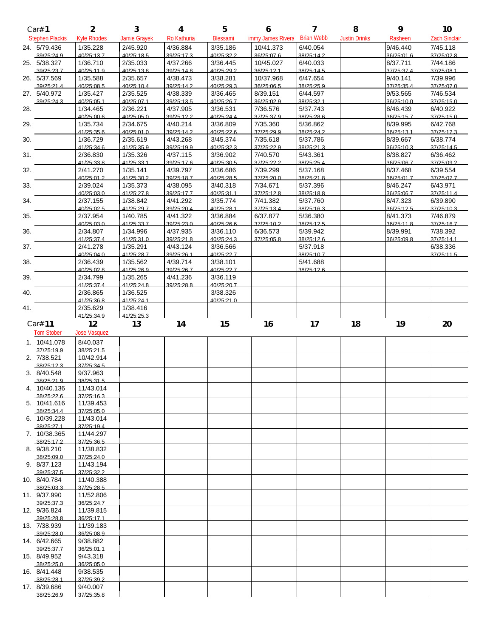|     | Car# 1                      | $\overline{2}$          | 3                      | $\boldsymbol{4}$       | 5                      | 6                       | $\overline{ }$         | 8                    | 9                      | 10                     |
|-----|-----------------------------|-------------------------|------------------------|------------------------|------------------------|-------------------------|------------------------|----------------------|------------------------|------------------------|
|     | <b>Stephen Plackis</b>      | <b>Kyle Rhodes</b>      | Jamie Grayek           | Ro Kathuria            | Blessami               | limmy James Rivera      | <b>Brian Webb</b>      | <b>Justin Drinks</b> | Rasheen                | <b>Zach Sindair</b>    |
|     | 24. 5/79.436                | 1/35.228                | 2/45.920               | 4/36.884               | 3/35.186               | 10/41.373               | 6/40.054               |                      | 9/46.440               | 7/45.118               |
|     | 39/25:24.9                  | 40/25:13.7              | 40/25:18.5             | 39/25:17.3             | 40/25:32.2             | 36/25:07.6              | 38/25:14.2             |                      | 36/25:01.6             | 37/25:02.8             |
|     | 25. 5/38.327<br>39/25:23.7  | 1/36.710<br>40/25:11.9  | 2/35.033<br>40/25:13.8 | 4/37.266<br>39/25:14.8 | 3/36.445<br>40/25:29.2 | 10/45.027<br>36/25:12.1 | 6/40.033<br>38/25:14.5 |                      | 8/37.711<br>37/25:37.4 | 7/44.186<br>37/25:08.1 |
|     | 26. 5/37.569                | 1/35.588                | 2/35.657               | 4/38.473               | 3/38.281               | 10/37.968               | 6/47.654               |                      | 9/40.141               | 7/39.996               |
|     | .39/25:21.4                 | 40/25:08.5              | 40/25:10.4             | 39/25:14.2             | 40/25:29.3             | 36/25:06.5              | 38/25:25.9             |                      | 37/25:35.4             | 37/25:07.0             |
|     | 27. 5/40.972                | 1/35.427                | 2/35.525               | 4/38.339               | 3/36.465               | 8/39.151                | 6/44.597               |                      | 9/53.565               | 7/46.534               |
| 28. | 39/25:24.3                  | 40/25:05.1<br>1/34.465  | 40/25:07.1<br>2/36.221 | 39/25:13.5<br>4/37.905 | 40/25:26.7<br>3/36.531 | 36/25:02.9<br>7/36.576  | 38/25:32.1<br>5/37.743 |                      | 36/25:10.0<br>8/46.439 | 37/25:15.0<br>6/40.922 |
|     |                             | 40/25:00.6              | 40/25:05.0             | 39/25:12.2             | 40/25:24.4             | 37/25:37.9              | 38/25:28.6             |                      | 36/25:15.7             | 37/25:15.0             |
| 29. |                             | 1/35.734                | 2/34.675               | 4/40.214               | 3/36.809               | 7/35.360                | 5/36.862               |                      | 8/39.995               | 6/42.768               |
|     |                             | 41/25:35.6              | 40/25:01.0             | 39/25:14.2             | 40/25:22.6             | 37/25:29.9              | 38/25:24.2             |                      | 36/25:13.1<br>8/39.667 | 37/25:17.3             |
| 30. |                             | 1/36.729<br>41/25:34.6  | 2/35.619<br>41/25:35.9 | 4/43.268<br>39/25:19.9 | 3/45.374<br>40/25:32.3 | 7/35.618<br>37/25:22.9  | 5/37.786<br>38/25:21.3 |                      | 36/25:10.3             | 6/38.774<br>37/25:145  |
| 31. |                             | 2/36.830                | 1/35.326               | 4/37.115               | 3/36.902               | 7/40.570                | 5/43.361               |                      | 8/38.827               | 6/36.462               |
|     |                             | 41/25:33.8              | 41/25:33.1             | 39/25:17.6             | 40/25:30.5             | 37/25:22.2              | 38/25:25.4             |                      | 36/25:06.7             | 37/25:09.2             |
| 32. |                             | 2/41.270<br>40/25:01.2  | 1/35.141<br>41/25:30.2 | 4/39.797<br>39/25:18.7 | 3/36.686<br>40/25:28.5 | 7/39.299                | 5/37.168<br>38/25:21.8 |                      | 8/37.468<br>36/25:01.7 | 6/39.554<br>37/25:07.7 |
| 33. |                             | 2/39.024                | 1/35.373               | 4/38.095               | 3/40.318               | 37/25:20.0<br>7/34.671  | 5/37.396               |                      | 8/46.247               | 6/43.971               |
|     |                             | 40/25:03.0              | 41/25.278              | 39/25:17.7             | 40/25:31 1             | 37/25:128               | 38/25:18.8             |                      | 36/25:06.7             | 37/25:11.4             |
| 34. |                             | 2/37.155                | 1/38.842               | 4/41.292               | 3/35.774               | 7/41.382                | 5/37.760               |                      | 8/47.323               | 6/39.890               |
|     |                             | 40/25:02.5              | 41/25:29.7             | 39/25:20.4             | 40/25:28.1             | 37/25:13.4              | 38/25:16.3             |                      | 36/25:12.5             | 37/25:10.3             |
| 35. |                             | 2/37.954<br>40/25:03.0  | 1/40.785<br>41/25:33.7 | 4/41.322<br>39/25:23.0 | 3/36.884<br>40/25:26.6 | 6/37.877<br>37/25:10.2  | 5/36.380<br>38/25:12.5 |                      | 8/41.373<br>36/25:11.8 | 7/46.879<br>37/25:16.7 |
| 36. |                             | 2/34.807                | 1/34.996               | 4/37.935               | 3/36.110               | 6/36.573                | 5/39.942               |                      | 8/39.991               | 7/38.392               |
|     |                             | 41/25:37.4              | 41/25:310              | 39/25:218              | 40/25:24.3             | 37/25:05.8              | 38/25:12.6             |                      | 36/25:09 8             | 37/25:141              |
| 37. |                             | 2/41.278<br>40/25:04.0  | 1/35.291               | 4/43.124<br>39/25:26.1 | 3/36.566<br>40/25:22.7 |                         | 5/37.918<br>38/25:10.7 |                      |                        | 6/38.336               |
| 38. |                             | 2/36.439                | 41/25:28.7<br>1/35.562 | 4/39.714               | 3/38.101               |                         | 5/41.688               |                      |                        | 37/25:11.5             |
|     |                             | 40/25:02.8              | 41/25:26.9             | 39/25:26.7             | 40/25:22.7             |                         | 38/25:12.6             |                      |                        |                        |
| 39. |                             | 2/34.799                | 1/35.265               | 4/41.236               | 3/36.119               |                         |                        |                      |                        |                        |
| 40. |                             | 41/25:37.4<br>2/36.865  | 41/25.248<br>1/36.525  | 39/25:28 8             | 40/25:20 7<br>3/38.326 |                         |                        |                      |                        |                        |
|     |                             | 41/25:36.8              | 41/25:24.1             |                        | 40/25:21.0             |                         |                        |                      |                        |                        |
|     |                             |                         |                        |                        |                        |                         |                        |                      |                        |                        |
| 41. |                             | 2/35.629                | 1/38.416               |                        |                        |                         |                        |                      |                        |                        |
|     |                             | 41/25:34.9              | 41/25:25.3             |                        |                        |                         |                        |                      |                        |                        |
|     | Car# 11                     | 12                      | 13                     | 14                     | 15                     | 16                      | 17                     | 18                   | 19                     | 20                     |
|     | <b>TomStober</b>            | <b>Jose Vasquez</b>     |                        |                        |                        |                         |                        |                      |                        |                        |
|     | 1. 10/41.078<br>.37/25:19.9 | 8/40.037<br>38/25:21.5  |                        |                        |                        |                         |                        |                      |                        |                        |
|     | 2. 7/38.521                 | 10/42.914               |                        |                        |                        |                         |                        |                      |                        |                        |
|     | .38/25:12.3                 | 37/25:345               |                        |                        |                        |                         |                        |                      |                        |                        |
|     | 3. 8/40.548<br>38/25:21.9   | 9/37.963<br>38/25:31.5  |                        |                        |                        |                         |                        |                      |                        |                        |
|     | 4. 10/40.136                | 11/43.014               |                        |                        |                        |                         |                        |                      |                        |                        |
|     | 38/25:22.6                  | 37/25:16.3              |                        |                        |                        |                         |                        |                      |                        |                        |
|     | 5. 10/41.616<br>38/25:34 4  | 11/39.453<br>37/25:05.0 |                        |                        |                        |                         |                        |                      |                        |                        |
|     | 6. 10/39.228                | 11/43.014               |                        |                        |                        |                         |                        |                      |                        |                        |
|     | 38/25:27.1                  | 37/25:19.4              |                        |                        |                        |                         |                        |                      |                        |                        |
|     | 7. 10/38.365                | 11/44.297<br>37/25:36.5 |                        |                        |                        |                         |                        |                      |                        |                        |
|     | 38/25:17.2<br>8. 9/38.210   | 11/38.832               |                        |                        |                        |                         |                        |                      |                        |                        |
|     | 38/25:09.0                  | 37/25:24.0              |                        |                        |                        |                         |                        |                      |                        |                        |
|     | 9. 8/37.123<br>39/25:37.5   | 11/43.194<br>37/25:32.2 |                        |                        |                        |                         |                        |                      |                        |                        |
|     | 10. 8/40.784                | 11/40.388               |                        |                        |                        |                         |                        |                      |                        |                        |
|     | 38/25:03.3                  | 37/25:28.5              |                        |                        |                        |                         |                        |                      |                        |                        |
|     | 11. 9/37.990<br>39/25:37.3  | 11/52.806<br>36/25:24.7 |                        |                        |                        |                         |                        |                      |                        |                        |
|     | 12. 9/36.824                | 11/39.815               |                        |                        |                        |                         |                        |                      |                        |                        |
|     | 39/25:28.8                  | 36/25:17.1              |                        |                        |                        |                         |                        |                      |                        |                        |
|     | 13. 7/38.939<br>.39/25:28.0 | 11/39.183<br>36/25:08.9 |                        |                        |                        |                         |                        |                      |                        |                        |
|     | 14. 6/42.665                | 9/38.882                |                        |                        |                        |                         |                        |                      |                        |                        |
|     | 39/25:37.7                  | 36/25:01.1              |                        |                        |                        |                         |                        |                      |                        |                        |
|     | 15. 8/49.952<br>.38/25:25.0 | 9/43.318<br>36/25:05.0  |                        |                        |                        |                         |                        |                      |                        |                        |
|     | 16. 8/41.448                | 9/38.535                |                        |                        |                        |                         |                        |                      |                        |                        |
|     | .38/25.28.1<br>17. 8/39.686 | 37/25:39 2<br>9/40.007  |                        |                        |                        |                         |                        |                      |                        |                        |